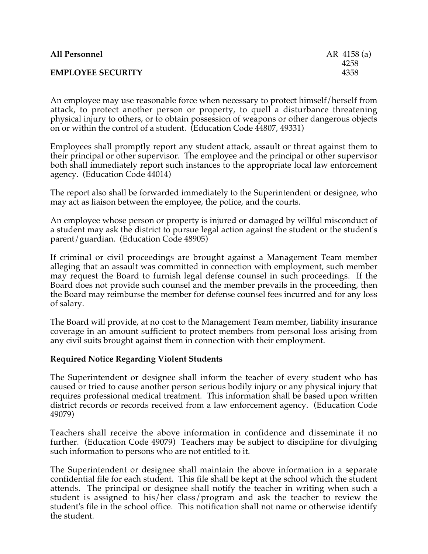| <b>All Personnel</b>     | AR $4158(a)$ |
|--------------------------|--------------|
| <b>EMPLOYEE SECURITY</b> | 4258<br>4358 |
|                          |              |

An employee may use reasonable force when necessary to protect himself/herself from attack, to protect another person or property, to quell a disturbance threatening physical injury to others, or to obtain possession of weapons or other dangerous objects on or within the control of a student. (Education Code 44807, 49331)

Employees shall promptly report any student attack, assault or threat against them to their principal or other supervisor. The employee and the principal or other supervisor both shall immediately report such instances to the appropriate local law enforcement agency. (Education Code 44014)

The report also shall be forwarded immediately to the Superintendent or designee, who may act as liaison between the employee, the police, and the courts.

An employee whose person or property is injured or damaged by willful misconduct of a student may ask the district to pursue legal action against the student or the student's parent/guardian. (Education Code 48905)

If criminal or civil proceedings are brought against a Management Team member alleging that an assault was committed in connection with employment, such member may request the Board to furnish legal defense counsel in such proceedings. If the Board does not provide such counsel and the member prevails in the proceeding, then the Board may reimburse the member for defense counsel fees incurred and for any loss of salary.

The Board will provide, at no cost to the Management Team member, liability insurance coverage in an amount sufficient to protect members from personal loss arising from any civil suits brought against them in connection with their employment.

## **Required Notice Regarding Violent Students**

The Superintendent or designee shall inform the teacher of every student who has caused or tried to cause another person serious bodily injury or any physical injury that requires professional medical treatment. This information shall be based upon written district records or records received from a law enforcement agency. (Education Code 49079)

Teachers shall receive the above information in confidence and disseminate it no further. (Education Code 49079) Teachers may be subject to discipline for divulging such information to persons who are not entitled to it.

The Superintendent or designee shall maintain the above information in a separate confidential file for each student. This file shall be kept at the school which the student attends. The principal or designee shall notify the teacher in writing when such a student is assigned to his/her class/program and ask the teacher to review the student's file in the school office. This notification shall not name or otherwise identify the student.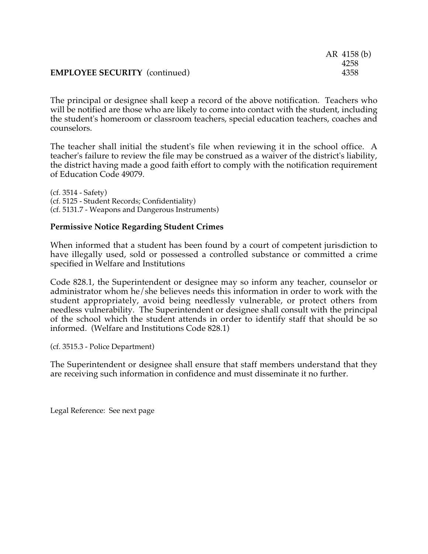|                                      | AR 4158 (b) |
|--------------------------------------|-------------|
|                                      | 4258        |
| <b>EMPLOYEE SECURITY</b> (continued) | 4358        |

The principal or designee shall keep a record of the above notification. Teachers who will be notified are those who are likely to come into contact with the student, including the student's homeroom or classroom teachers, special education teachers, coaches and counselors.

The teacher shall initial the student's file when reviewing it in the school office. A teacher's failure to review the file may be construed as a waiver of the district's liability, the district having made a good faith effort to comply with the notification requirement of Education Code 49079.

(cf. 3514 - Safety) (cf. 5125 - Student Records; Confidentiality) (cf. 5131.7 - Weapons and Dangerous Instruments)

## **Permissive Notice Regarding Student Crimes**

When informed that a student has been found by a court of competent jurisdiction to have illegally used, sold or possessed a controlled substance or committed a crime specified in Welfare and Institutions

Code 828.1, the Superintendent or designee may so inform any teacher, counselor or administrator whom he/she believes needs this information in order to work with the student appropriately, avoid being needlessly vulnerable, or protect others from needless vulnerability. The Superintendent or designee shall consult with the principal of the school which the student attends in order to identify staff that should be so informed. (Welfare and Institutions Code 828.1)

(cf. 3515.3 - Police Department)

The Superintendent or designee shall ensure that staff members understand that they are receiving such information in confidence and must disseminate it no further.

Legal Reference: See next page